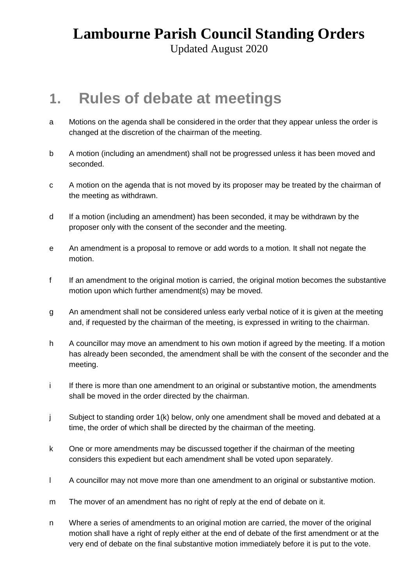Updated August 2020

#### **1. Rules of debate at meetings**

- a Motions on the agenda shall be considered in the order that they appear unless the order is changed at the discretion of the chairman of the meeting.
- b A motion (including an amendment) shall not be progressed unless it has been moved and seconded.
- c A motion on the agenda that is not moved by its proposer may be treated by the chairman of the meeting as withdrawn.
- d If a motion (including an amendment) has been seconded, it may be withdrawn by the proposer only with the consent of the seconder and the meeting.
- e An amendment is a proposal to remove or add words to a motion. It shall not negate the motion.
- f If an amendment to the original motion is carried, the original motion becomes the substantive motion upon which further amendment(s) may be moved.
- g An amendment shall not be considered unless early verbal notice of it is given at the meeting and, if requested by the chairman of the meeting, is expressed in writing to the chairman.
- h A councillor may move an amendment to his own motion if agreed by the meeting. If a motion has already been seconded, the amendment shall be with the consent of the seconder and the meeting.
- i If there is more than one amendment to an original or substantive motion, the amendments shall be moved in the order directed by the chairman.
- j Subject to standing order 1(k) below, only one amendment shall be moved and debated at a time, the order of which shall be directed by the chairman of the meeting.
- k One or more amendments may be discussed together if the chairman of the meeting considers this expedient but each amendment shall be voted upon separately.
- l A councillor may not move more than one amendment to an original or substantive motion.
- m The mover of an amendment has no right of reply at the end of debate on it.
- n Where a series of amendments to an original motion are carried, the mover of the original motion shall have a right of reply either at the end of debate of the first amendment or at the very end of debate on the final substantive motion immediately before it is put to the vote.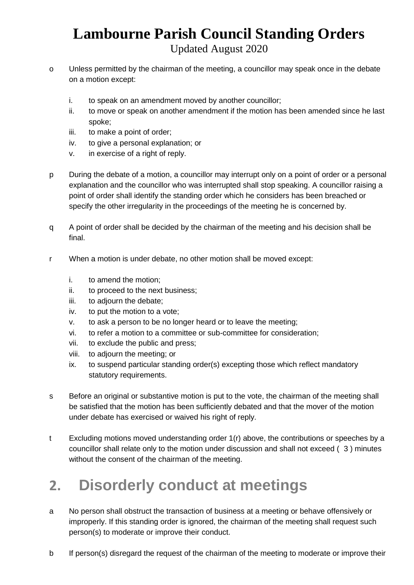Updated August 2020

- o Unless permitted by the chairman of the meeting, a councillor may speak once in the debate on a motion except:
	- i. to speak on an amendment moved by another councillor;
	- ii. to move or speak on another amendment if the motion has been amended since he last spoke;
	- iii. to make a point of order;
	- iv. to give a personal explanation; or
	- v. in exercise of a right of reply.
- p During the debate of a motion, a councillor may interrupt only on a point of order or a personal explanation and the councillor who was interrupted shall stop speaking. A councillor raising a point of order shall identify the standing order which he considers has been breached or specify the other irregularity in the proceedings of the meeting he is concerned by.
- q A point of order shall be decided by the chairman of the meeting and his decision shall be final.
- r When a motion is under debate, no other motion shall be moved except:
	- i. to amend the motion;
	- ii. to proceed to the next business;
	- iii. to adjourn the debate;
	- iv. to put the motion to a vote;
	- v. to ask a person to be no longer heard or to leave the meeting;
	- vi. to refer a motion to a committee or sub-committee for consideration;
	- vii. to exclude the public and press;
	- viii. to adjourn the meeting; or
	- ix. to suspend particular standing order(s) excepting those which reflect mandatory statutory requirements.
- s Before an original or substantive motion is put to the vote, the chairman of the meeting shall be satisfied that the motion has been sufficiently debated and that the mover of the motion under debate has exercised or waived his right of reply.
- t Excluding motions moved understanding order 1(r) above, the contributions or speeches by a councillor shall relate only to the motion under discussion and shall not exceed ( 3 ) minutes without the consent of the chairman of the meeting.

# **2. Disorderly conduct at meetings**

- a No person shall obstruct the transaction of business at a meeting or behave offensively or improperly. If this standing order is ignored, the chairman of the meeting shall request such person(s) to moderate or improve their conduct.
- b If person(s) disregard the request of the chairman of the meeting to moderate or improve their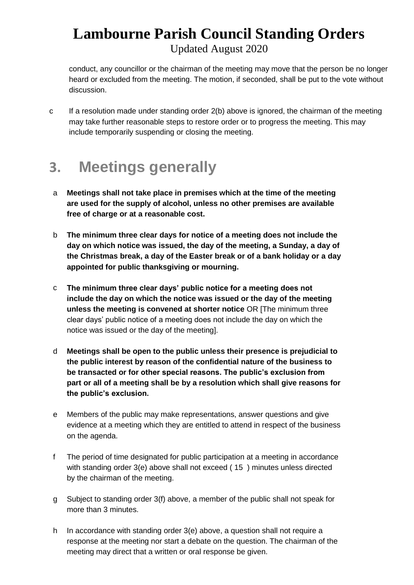Updated August 2020

conduct, any councillor or the chairman of the meeting may move that the person be no longer heard or excluded from the meeting. The motion, if seconded, shall be put to the vote without discussion.

c If a resolution made under standing order 2(b) above is ignored, the chairman of the meeting may take further reasonable steps to restore order or to progress the meeting. This may include temporarily suspending or closing the meeting.

## **3. Meetings generally**

- a **Meetings shall not take place in premises which at the time of the meeting are used for the supply of alcohol, unless no other premises are available free of charge or at a reasonable cost.**
- b **The minimum three clear days for notice of a meeting does not include the day on which notice was issued, the day of the meeting, a Sunday, a day of the Christmas break, a day of the Easter break or of a bank holiday or a day appointed for public thanksgiving or mourning.**
- c **The minimum three clear days' public notice for a meeting does not include the day on which the notice was issued or the day of the meeting unless the meeting is convened at shorter notice** OR [The minimum three clear days' public notice of a meeting does not include the day on which the notice was issued or the day of the meeting].
- d **Meetings shall be open to the public unless their presence is prejudicial to the public interest by reason of the confidential nature of the business to be transacted or for other special reasons. The public's exclusion from part or all of a meeting shall be by a resolution which shall give reasons for the public's exclusion.**
- e Members of the public may make representations, answer questions and give evidence at a meeting which they are entitled to attend in respect of the business on the agenda.
- f The period of time designated for public participation at a meeting in accordance with standing order 3(e) above shall not exceed ( 15 ) minutes unless directed by the chairman of the meeting.
- g Subject to standing order 3(f) above, a member of the public shall not speak for more than 3 minutes.
- h In accordance with standing order 3(e) above, a question shall not require a response at the meeting nor start a debate on the question. The chairman of the meeting may direct that a written or oral response be given.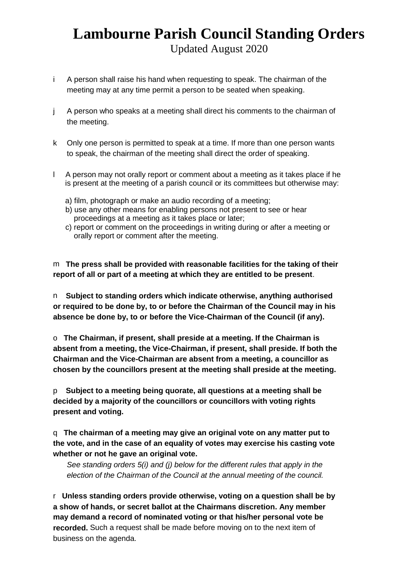Updated August 2020

- i A person shall raise his hand when requesting to speak. The chairman of the meeting may at any time permit a person to be seated when speaking.
- j A person who speaks at a meeting shall direct his comments to the chairman of the meeting.
- k Only one person is permitted to speak at a time. If more than one person wants to speak, the chairman of the meeting shall direct the order of speaking.
- l A person may not orally report or comment about a meeting as it takes place if he is present at the meeting of a parish council or its committees but otherwise may:
	- a) film, photograph or make an audio recording of a meeting;
	- b) use any other means for enabling persons not present to see or hear proceedings at a meeting as it takes place or later;
	- c) report or comment on the proceedings in writing during or after a meeting or orally report or comment after the meeting.

m **The press shall be provided with reasonable facilities for the taking of their report of all or part of a meeting at which they are entitled to be present**.

n **Subject to standing orders which indicate otherwise, anything authorised or required to be done by, to or before the Chairman of the Council may in his absence be done by, to or before the Vice-Chairman of the Council (if any).**

o **The Chairman, if present, shall preside at a meeting. If the Chairman is absent from a meeting, the Vice-Chairman, if present, shall preside. If both the Chairman and the Vice-Chairman are absent from a meeting, a councillor as chosen by the councillors present at the meeting shall preside at the meeting.**

p **Subject to a meeting being quorate, all questions at a meeting shall be decided by a majority of the councillors or councillors with voting rights present and voting.**

q **The chairman of a meeting may give an original vote on any matter put to the vote, and in the case of an equality of votes may exercise his casting vote whether or not he gave an original vote.**

*See standing orders 5(i) and (j) below for the different rules that apply in the election of the Chairman of the Council at the annual meeting of the council.*

r **Unless standing orders provide otherwise, voting on a question shall be by a show of hands, or secret ballot at the Chairmans discretion. Any member may demand a record of nominated voting or that his/her personal vote be recorded.** Such a request shall be made before moving on to the next item of business on the agenda.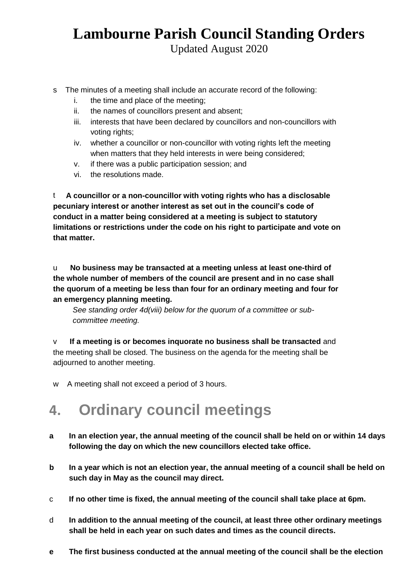Updated August 2020

- s The minutes of a meeting shall include an accurate record of the following:
	- i. the time and place of the meeting;
	- ii. the names of councillors present and absent;
	- iii. interests that have been declared by councillors and non-councillors with voting rights;
	- iv. whether a councillor or non-councillor with voting rights left the meeting when matters that they held interests in were being considered;
	- v. if there was a public participation session; and
	- vi. the resolutions made.

t **A councillor or a non-councillor with voting rights who has a disclosable pecuniary interest or another interest as set out in the council's code of conduct in a matter being considered at a meeting is subject to statutory limitations or restrictions under the code on his right to participate and vote on that matter.**

u **No business may be transacted at a meeting unless at least one-third of the whole number of members of the council are present and in no case shall the quorum of a meeting be less than four for an ordinary meeting and four for an emergency planning meeting.**

*See standing order 4d(viii) below for the quorum of a committee or subcommittee meeting.* 

v **If a meeting is or becomes inquorate no business shall be transacted** and the meeting shall be closed. The business on the agenda for the meeting shall be adjourned to another meeting.

w A meeting shall not exceed a period of 3 hours.

### **4. Ordinary council meetings**

- **a In an election year, the annual meeting of the council shall be held on or within 14 days following the day on which the new councillors elected take office.**
- **b In a year which is not an election year, the annual meeting of a council shall be held on such day in May as the council may direct.**
- c **If no other time is fixed, the annual meeting of the council shall take place at 6pm.**
- d **In addition to the annual meeting of the council, at least three other ordinary meetings shall be held in each year on such dates and times as the council directs.**
- **e The first business conducted at the annual meeting of the council shall be the election**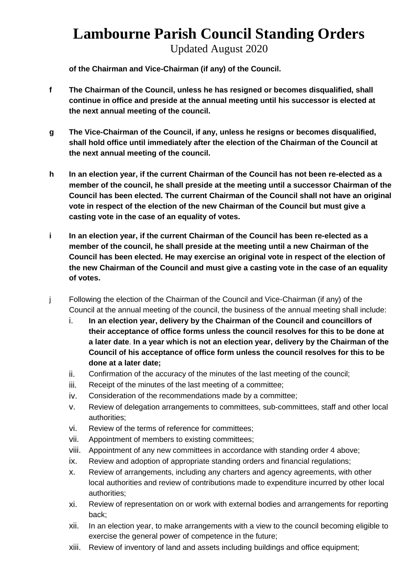Updated August 2020

**of the Chairman and Vice-Chairman (if any) of the Council.**

- **f The Chairman of the Council, unless he has resigned or becomes disqualified, shall continue in office and preside at the annual meeting until his successor is elected at the next annual meeting of the council.**
- **g The Vice-Chairman of the Council, if any, unless he resigns or becomes disqualified, shall hold office until immediately after the election of the Chairman of the Council at the next annual meeting of the council.**
- **h In an election year, if the current Chairman of the Council has not been re-elected as a member of the council, he shall preside at the meeting until a successor Chairman of the Council has been elected. The current Chairman of the Council shall not have an original vote in respect of the election of the new Chairman of the Council but must give a casting vote in the case of an equality of votes.**
- **i In an election year, if the current Chairman of the Council has been re-elected as a member of the council, he shall preside at the meeting until a new Chairman of the Council has been elected. He may exercise an original vote in respect of the election of the new Chairman of the Council and must give a casting vote in the case of an equality of votes.**
- j Following the election of the Chairman of the Council and Vice-Chairman (if any) of the Council at the annual meeting of the council, the business of the annual meeting shall include:
	- i. **In an election year, delivery by the Chairman of the Council and councillors of their acceptance of office forms unless the council resolves for this to be done at a later date**. **In a year which is not an election year, delivery by the Chairman of the Council of his acceptance of office form unless the council resolves for this to be done at a later date;**
	- ii. Confirmation of the accuracy of the minutes of the last meeting of the council;
	- iii. Receipt of the minutes of the last meeting of a committee;
	- iv. Consideration of the recommendations made by a committee;
	- v. Review of delegation arrangements to committees, sub-committees, staff and other local authorities;
	- vi. Review of the terms of reference for committees;
	- vii. Appointment of members to existing committees;
	- viii. Appointment of any new committees in accordance with standing order 4 above;
	- ix. Review and adoption of appropriate standing orders and financial regulations;
	- x. Review of arrangements, including any charters and agency agreements, with other local authorities and review of contributions made to expenditure incurred by other local authorities;
	- xi. Review of representation on or work with external bodies and arrangements for reporting back;
	- xii. In an election year, to make arrangements with a view to the council becoming eligible to exercise the general power of competence in the future;
	- xiii. Review of inventory of land and assets including buildings and office equipment;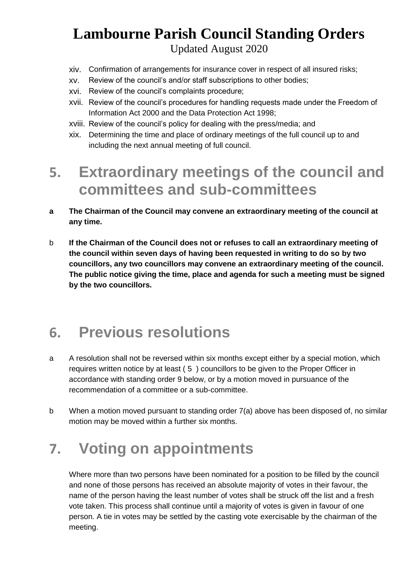Updated August 2020

- xiv. Confirmation of arrangements for insurance cover in respect of all insured risks;
- xv. Review of the council's and/or staff subscriptions to other bodies;
- xvi. Review of the council's complaints procedure;
- xvii. Review of the council's procedures for handling requests made under the Freedom of Information Act 2000 and the Data Protection Act 1998;
- xviii. Review of the council's policy for dealing with the press/media; and
- xix. Determining the time and place of ordinary meetings of the full council up to and including the next annual meeting of full council.

## **5. Extraordinary meetings of the council and committees and sub-committees**

- **a The Chairman of the Council may convene an extraordinary meeting of the council at any time.**
- b **If the Chairman of the Council does not or refuses to call an extraordinary meeting of the council within seven days of having been requested in writing to do so by two councillors, any two councillors may convene an extraordinary meeting of the council. The public notice giving the time, place and agenda for such a meeting must be signed by the two councillors.**

## **6. Previous resolutions**

- a A resolution shall not be reversed within six months except either by a special motion, which requires written notice by at least ( 5 ) councillors to be given to the Proper Officer in accordance with standing order 9 below, or by a motion moved in pursuance of the recommendation of a committee or a sub-committee.
- b When a motion moved pursuant to standing order 7(a) above has been disposed of, no similar motion may be moved within a further six months.

## **7. Voting on appointments**

Where more than two persons have been nominated for a position to be filled by the council and none of those persons has received an absolute majority of votes in their favour, the name of the person having the least number of votes shall be struck off the list and a fresh vote taken. This process shall continue until a majority of votes is given in favour of one person. A tie in votes may be settled by the casting vote exercisable by the chairman of the meeting.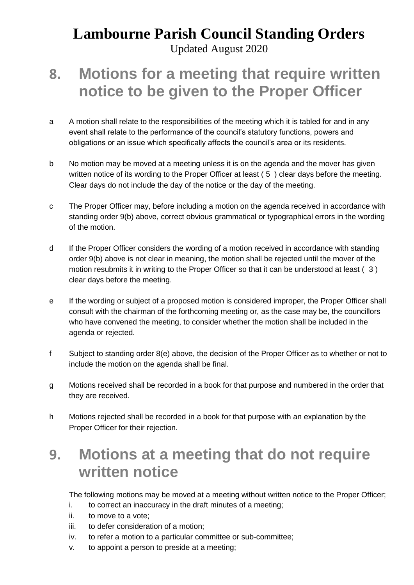Updated August 2020

# **8. Motions for a meeting that require written notice to be given to the Proper Officer**

- a A motion shall relate to the responsibilities of the meeting which it is tabled for and in any event shall relate to the performance of the council's statutory functions, powers and obligations or an issue which specifically affects the council's area or its residents.
- b No motion may be moved at a meeting unless it is on the agenda and the mover has given written notice of its wording to the Proper Officer at least (5) clear days before the meeting. Clear days do not include the day of the notice or the day of the meeting.
- c The Proper Officer may, before including a motion on the agenda received in accordance with standing order 9(b) above, correct obvious grammatical or typographical errors in the wording of the motion.
- d If the Proper Officer considers the wording of a motion received in accordance with standing order 9(b) above is not clear in meaning, the motion shall be rejected until the mover of the motion resubmits it in writing to the Proper Officer so that it can be understood at least ( 3 ) clear days before the meeting.
- e If the wording or subject of a proposed motion is considered improper, the Proper Officer shall consult with the chairman of the forthcoming meeting or, as the case may be, the councillors who have convened the meeting, to consider whether the motion shall be included in the agenda or rejected.
- f Subject to standing order 8(e) above, the decision of the Proper Officer as to whether or not to include the motion on the agenda shall be final.
- g Motions received shall be recorded in a book for that purpose and numbered in the order that they are received.
- h Motions rejected shall be recorded in a book for that purpose with an explanation by the Proper Officer for their rejection.

## **9. Motions at a meeting that do not require written notice**

The following motions may be moved at a meeting without written notice to the Proper Officer;

- i. to correct an inaccuracy in the draft minutes of a meeting;
- ii. to move to a vote;
- iii. to defer consideration of a motion;
- iv. to refer a motion to a particular committee or sub-committee;
- v. to appoint a person to preside at a meeting;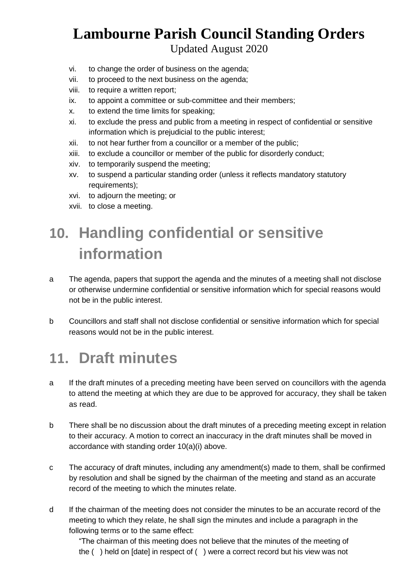Updated August 2020

- vi. to change the order of business on the agenda;
- vii. to proceed to the next business on the agenda;
- viii. to require a written report;
- ix. to appoint a committee or sub-committee and their members;
- x. to extend the time limits for speaking;
- xi. to exclude the press and public from a meeting in respect of confidential or sensitive information which is prejudicial to the public interest;
- xii. to not hear further from a councillor or a member of the public;
- xiii. to exclude a councillor or member of the public for disorderly conduct;
- xiv. to temporarily suspend the meeting;
- xv. to suspend a particular standing order (unless it reflects mandatory statutory requirements);
- xvi. to adjourn the meeting; or
- xvii. to close a meeting.

# **10. Handling confidential or sensitive information**

- a The agenda, papers that support the agenda and the minutes of a meeting shall not disclose or otherwise undermine confidential or sensitive information which for special reasons would not be in the public interest.
- b Councillors and staff shall not disclose confidential or sensitive information which for special reasons would not be in the public interest.

## **11. Draft minutes**

- a If the draft minutes of a preceding meeting have been served on councillors with the agenda to attend the meeting at which they are due to be approved for accuracy, they shall be taken as read.
- b There shall be no discussion about the draft minutes of a preceding meeting except in relation to their accuracy. A motion to correct an inaccuracy in the draft minutes shall be moved in accordance with standing order 10(a)(i) above.
- c The accuracy of draft minutes, including any amendment(s) made to them, shall be confirmed by resolution and shall be signed by the chairman of the meeting and stand as an accurate record of the meeting to which the minutes relate.
- d If the chairman of the meeting does not consider the minutes to be an accurate record of the meeting to which they relate, he shall sign the minutes and include a paragraph in the following terms or to the same effect:

"The chairman of this meeting does not believe that the minutes of the meeting of the ( ) held on [date] in respect of ( ) were a correct record but his view was not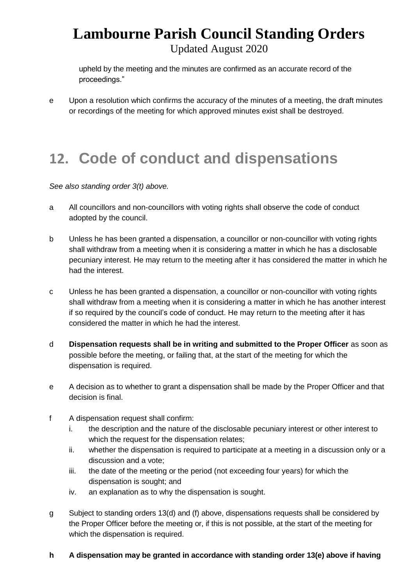Updated August 2020

upheld by the meeting and the minutes are confirmed as an accurate record of the proceedings."

e Upon a resolution which confirms the accuracy of the minutes of a meeting, the draft minutes or recordings of the meeting for which approved minutes exist shall be destroyed.

# **12. Code of conduct and dispensations**

*See also standing order 3(t) above.* 

- a All councillors and non-councillors with voting rights shall observe the code of conduct adopted by the council.
- b Unless he has been granted a dispensation, a councillor or non-councillor with voting rights shall withdraw from a meeting when it is considering a matter in which he has a disclosable pecuniary interest. He may return to the meeting after it has considered the matter in which he had the interest.
- c Unless he has been granted a dispensation, a councillor or non-councillor with voting rights shall withdraw from a meeting when it is considering a matter in which he has another interest if so required by the council's code of conduct. He may return to the meeting after it has considered the matter in which he had the interest.
- d **Dispensation requests shall be in writing and submitted to the Proper Officer** as soon as possible before the meeting, or failing that, at the start of the meeting for which the dispensation is required.
- e A decision as to whether to grant a dispensation shall be made by the Proper Officer and that decision is final.
- f A dispensation request shall confirm:
	- i. the description and the nature of the disclosable pecuniary interest or other interest to which the request for the dispensation relates;
	- ii. whether the dispensation is required to participate at a meeting in a discussion only or a discussion and a vote;
	- iii. the date of the meeting or the period (not exceeding four years) for which the dispensation is sought; and
	- iv. an explanation as to why the dispensation is sought.
- g Subject to standing orders 13(d) and (f) above, dispensations requests shall be considered by the Proper Officer before the meeting or, if this is not possible, at the start of the meeting for which the dispensation is required.

#### **h A dispensation may be granted in accordance with standing order 13(e) above if having**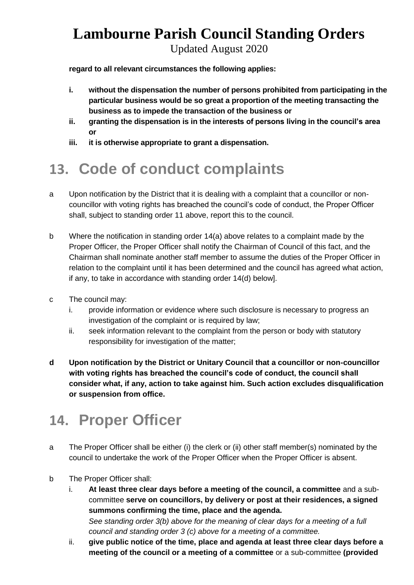Updated August 2020

**regard to all relevant circumstances the following applies:**

- **i. without the dispensation the number of persons prohibited from participating in the particular business would be so great a proportion of the meeting transacting the business as to impede the transaction of the business or**
- **ii. granting the dispensation is in the interests of persons living in the council's area or**
- **iii. it is otherwise appropriate to grant a dispensation.**

# **13. Code of conduct complaints**

- a Upon notification by the District that it is dealing with a complaint that a councillor or noncouncillor with voting rights has breached the council's code of conduct, the Proper Officer shall, subject to standing order 11 above, report this to the council.
- b Where the notification in standing order 14(a) above relates to a complaint made by the Proper Officer, the Proper Officer shall notify the Chairman of Council of this fact, and the Chairman shall nominate another staff member to assume the duties of the Proper Officer in relation to the complaint until it has been determined and the council has agreed what action, if any, to take in accordance with standing order 14(d) below].
- c The council may:
	- i. provide information or evidence where such disclosure is necessary to progress an investigation of the complaint or is required by law;
	- ii. seek information relevant to the complaint from the person or body with statutory responsibility for investigation of the matter;
- **d Upon notification by the District or Unitary Council that a councillor or non-councillor with voting rights has breached the council's code of conduct, the council shall consider what, if any, action to take against him. Such action excludes disqualification or suspension from office.**

# **14. Proper Officer**

- a The Proper Officer shall be either (i) the clerk or (ii) other staff member(s) nominated by the council to undertake the work of the Proper Officer when the Proper Officer is absent.
- b The Proper Officer shall:
	- i. **At least three clear days before a meeting of the council, a committee** and a subcommittee **serve on councillors, by delivery or post at their residences, a signed summons confirming the time, place and the agenda.** *See standing order 3(b) above for the meaning of clear days for a meeting of a full council and standing order 3 (c) above for a meeting of a committee.*
	- ii. **give public notice of the time, place and agenda at least three clear days before a meeting of the council or a meeting of a committee** or a sub-committee **(provided**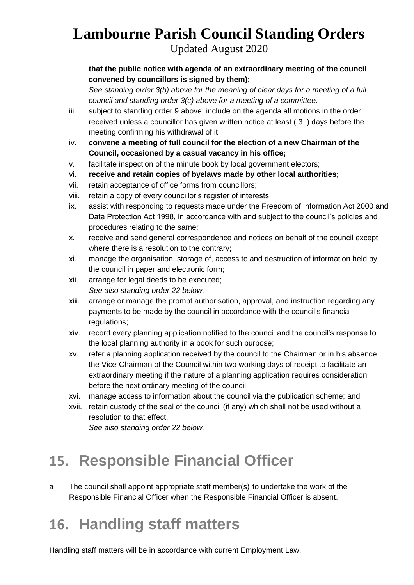Updated August 2020

#### **that the public notice with agenda of an extraordinary meeting of the council convened by councillors is signed by them);**

*See standing order 3(b) above for the meaning of clear days for a meeting of a full council and standing order 3(c) above for a meeting of a committee.*

- iii. subject to standing order 9 above, include on the agenda all motions in the order received unless a councillor has given written notice at least ( 3 ) days before the meeting confirming his withdrawal of it;
- iv. **convene a meeting of full council for the election of a new Chairman of the Council, occasioned by a casual vacancy in his office;**
- v. facilitate inspection of the minute book by local government electors;
- vi. **receive and retain copies of byelaws made by other local authorities;**
- vii. retain acceptance of office forms from councillors;
- viii. retain a copy of every councillor's register of interests;
- ix. assist with responding to requests made under the Freedom of Information Act 2000 and Data Protection Act 1998, in accordance with and subject to the council's policies and procedures relating to the same;
- x. receive and send general correspondence and notices on behalf of the council except where there is a resolution to the contrary;
- xi. manage the organisation, storage of, access to and destruction of information held by the council in paper and electronic form;
- xii. arrange for legal deeds to be executed; *See also standing order 22 below.*
- xiii. arrange or manage the prompt authorisation, approval, and instruction regarding any payments to be made by the council in accordance with the council's financial regulations;
- xiv. record every planning application notified to the council and the council's response to the local planning authority in a book for such purpose;
- xv. refer a planning application received by the council to the Chairman or in his absence the Vice-Chairman of the Council within two working days of receipt to facilitate an extraordinary meeting if the nature of a planning application requires consideration before the next ordinary meeting of the council;
- xvi. manage access to information about the council via the publication scheme; and
- xvii. retain custody of the seal of the council (if any) which shall not be used without a resolution to that effect.

*See also standing order 22 below.*

# **15. Responsible Financial Officer**

a The council shall appoint appropriate staff member(s) to undertake the work of the Responsible Financial Officer when the Responsible Financial Officer is absent.

# **16. Handling staff matters**

Handling staff matters will be in accordance with current Employment Law.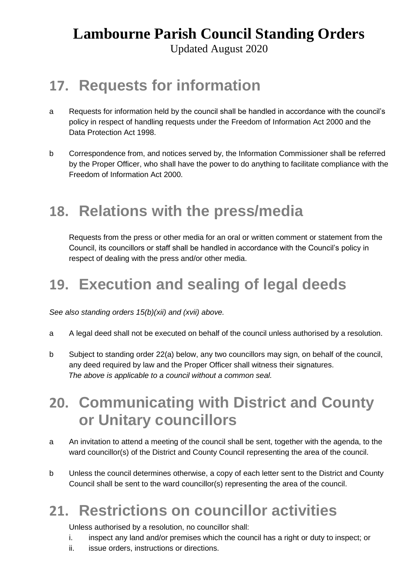Updated August 2020

## **17. Requests for information**

- a Requests for information held by the council shall be handled in accordance with the council's policy in respect of handling requests under the Freedom of Information Act 2000 and the Data Protection Act 1998.
- b Correspondence from, and notices served by, the Information Commissioner shall be referred by the Proper Officer, who shall have the power to do anything to facilitate compliance with the Freedom of Information Act 2000.

## **18. Relations with the press/media**

Requests from the press or other media for an oral or written comment or statement from the Council, its councillors or staff shall be handled in accordance with the Council's policy in respect of dealing with the press and/or other media.

# **19. Execution and sealing of legal deeds**

*See also standing orders 15(b)(xii) and (xvii) above.*

- a A legal deed shall not be executed on behalf of the council unless authorised by a resolution.
- b Subject to standing order 22(a) below, any two councillors may sign, on behalf of the council, any deed required by law and the Proper Officer shall witness their signatures.  *The above is applicable to a council without a common seal.*

## **20. Communicating with District and County or Unitary councillors**

- a An invitation to attend a meeting of the council shall be sent, together with the agenda, to the ward councillor(s) of the District and County Council representing the area of the council.
- b Unless the council determines otherwise, a copy of each letter sent to the District and County Council shall be sent to the ward councillor(s) representing the area of the council.

### **21. Restrictions on councillor activities**

Unless authorised by a resolution, no councillor shall:

- i. inspect any land and/or premises which the council has a right or duty to inspect; or
- ii. issue orders, instructions or directions.